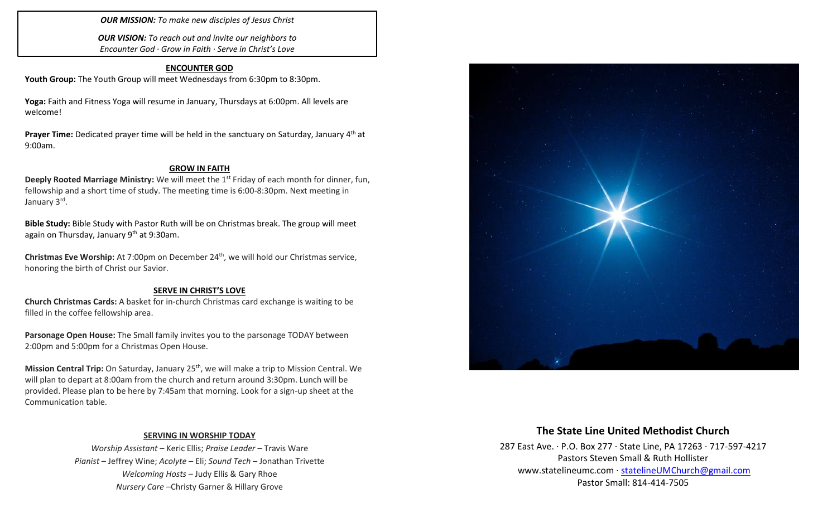*OUR MISSION: To make new disciples of Jesus Christ*

*OUR VISION: To reach out and invite our neighbors to Encounter God · Grow in Faith · Serve in Christ's Love*

### **ENCOUNTER GOD**

Youth Group: The Youth Group will meet Wednesdays from 6:30pm to 8:30pm.

**Yoga:** Faith and Fitness Yoga will resume in January, Thursdays at 6:00pm. All levels are welcome!

Prayer Time: Dedicated prayer time will be held in the sanctuary on Saturday, January 4<sup>th</sup> at 9:00am.

#### **GROW IN FAITH**

**Deeply Rooted Marriage Ministry:** We will meet the 1<sup>st</sup> Friday of each month for dinner, fun, fellowship and a short time of study. The meeting time is 6:00-8:30pm. Next meeting in January 3<sup>rd</sup>.

**Bible Study:** Bible Study with Pastor Ruth will be on Christmas break. The group will meet again on Thursday, January 9<sup>th</sup> at 9:30am.

**Christmas Eve Worship:** At 7:00pm on December 24<sup>th</sup>, we will hold our Christmas service, honoring the birth of Christ our Savior.

### **SERVE IN CHRIST'S LOVE**

**Church Christmas Cards:** A basket for in-church Christmas card exchange is waiting to be filled in the coffee fellowship area.

**Parsonage Open House:** The Small family invites you to the parsonage TODAY between 2:00pm and 5:00pm for a Christmas Open House.

**Mission Central Trip:** On Saturday, January 25<sup>th</sup>, we will make a trip to Mission Central. We will plan to depart at 8:00am from the church and return around 3:30pm. Lunch will be provided. Please plan to be here by 7:45am that morning. Look for a sign-up sheet at the Communication table.

### **SERVING IN WORSHIP TODAY**

*Worship Assistant* – Keric Ellis; *Praise Leader* – Travis Ware *Pianist* – Jeffrey Wine; *Acolyte* – Eli; *Sound Tech* – Jonathan Trivette *Welcoming Hosts* – Judy Ellis & Gary Rhoe *Nursery Care* –Christy Garner & Hillary Grove



# **The State Line United Methodist Church**

287 East Ave. · P.O. Box 277 · State Line, PA 17263 · 717-597-4217 Pastors Steven Small & Ruth Hollister [www.statelineumc.com](http://www.statelineumc.com/) · [statelineUMChurch@gmail.com](mailto:statelineUMChurch@gmail.com) Pastor Small: 814-414-7505